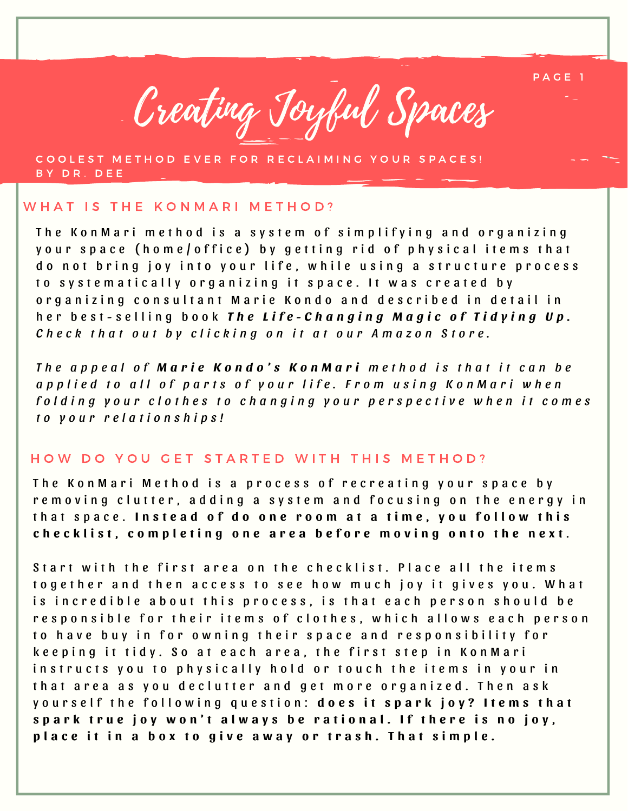

COOLEST METHOD EVER FOR RECLAIMING YOUR SPACES! B Y D R . D E E

#### WHAT IS THE KONMARI METHOD?

The Kon Mari method is a system of simplifying and organizing your space (home/office) by getting rid of physical items that do not bring joy into your life, while using a structure process to systematically organizing it space. It was created by organizing consultant Marie Kondo and described in detail in her best-selling book The Life-Changing Magic of Tidying Up. Check that out by clicking on it at our Amazon Store.

The appeal of **Marie Kondo's KonMari** method is that it can be applied to all of parts of your life. From using KonMari when folding your clothes to changing your perspective when it comes *t o y o u r r e l a t i o n s h i p s !*

#### HOW DO YOU GET STARTED WITH THIS METHOD?

The Kon M ari Method is a process of recreating your space by removing clutter, adding a system and focusing on the energy in that space. Instead of do one room at a time, you follow this checklist, completing one area before moving onto the next.

Start with the first area on the checklist. Place all the items together and then access to see how much joy it gives you. What is incredible about this process, is that each person should be responsible for their items of clothes, which allows each person to have buy in for owning their space and responsibility for keeping it tidy. So at each area, the first step in KonMari instructs you to physically hold or touch the items in your in that area as you declutter and get more organized. Then ask yourself the following question: does it spark joy? Items that spark true joy won't always be rational. If there is no joy, place it in a box to give away or trash. That simple.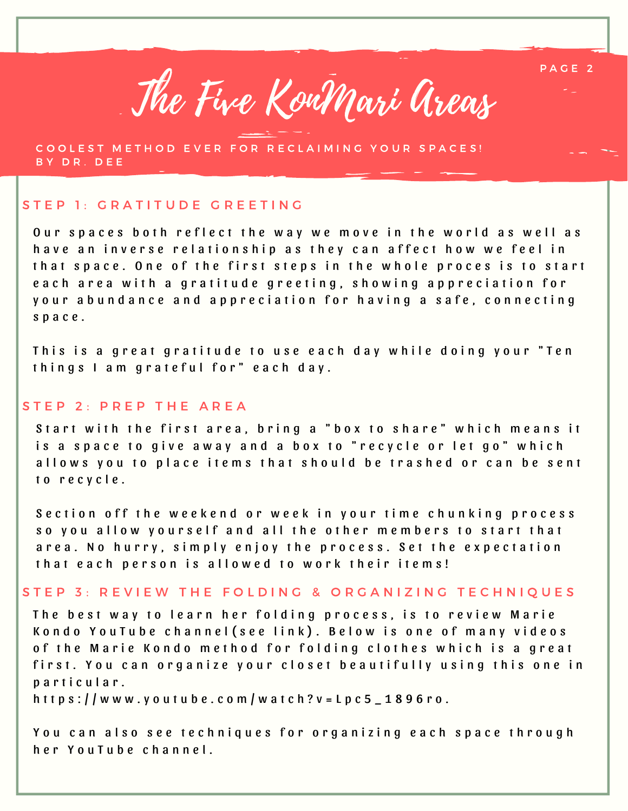

COOLEST METHOD EVER FOR RECLAIMING YOUR SPACES! BY DR. DEE

### STEP 1: GRATITUDE GREETING

Our spaces both reflect the way we move in the world as well as h a v e an inverse relationship as they can affect how we feel in that space. One of the first steps in the whole proces is to start e a c h a r e a w i t h a g r a t i t u d e g r e e t i n g , s h o w i n g a p p r e c i a t i o n f o r your abundance and appreciation for having a safe, connecting s p a c e .

This is a great gratitude to use each day while doing your "Ten things I am grateful for" each day.

#### STEP 2: PREP THE AREA

Start with the first area, bring a "box to share" which means it is a space to give away and a box to "recycle or let go" which allows you to place items that should be trashed or can be sent to recycle.

Section off the weekend or week in your time chunking process so you allow yourself and all the other members to start that area. No hurry, simply enjoy the process. Set the expectation that each person is allowed to work their items!

## STEP 3: REVIEW THE FOLDING & ORGANIZING TECHNIQUES

The best way to learn her folding process, is to review Marie Kondo YouTube channel (see link). Below is one of [m](https://www.youtube.com/watch?v=Lpc5_1896ro)any videos of the Marie Kondo method for folding clothes which is a great first. You can organize your closet beautifully using this one in p a r t i c u l a r .

h t t p s :  $//$  w w w . y o u t u b e . c o m  $/$  w a t c h ? v = L p c 5  $-1896$  r o .

You can also see techniques for organizing each space through h e r Y o u T u b e c h a n n e l .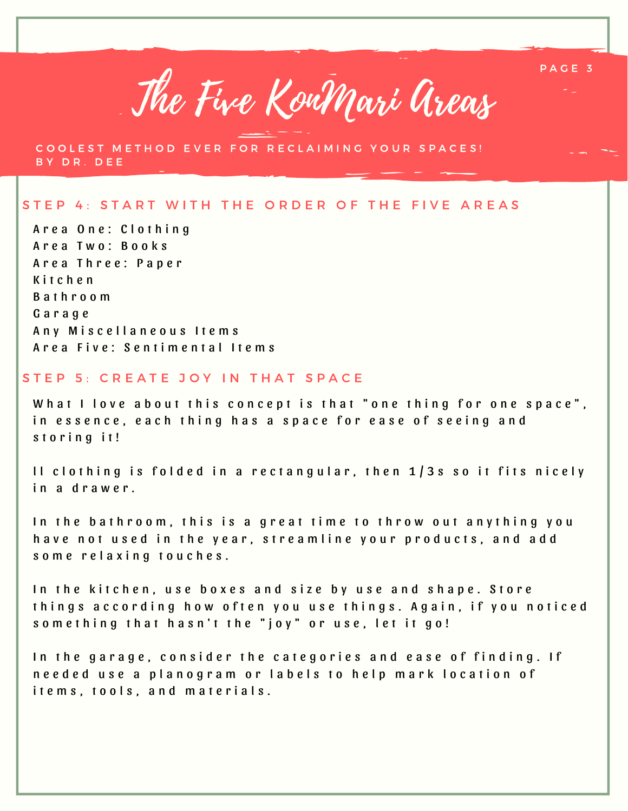

COOLEST METHOD EVER FOR RECLAIMING YOUR SPACES! B Y D R . D E E

# STEP 4: START WITH THE ORDER OF THE FIVE AREAS

A r e a O n e : C l o t h i n g A r e a T w o : B o o k s A r e a Th r e e : P a p e r K i t c h e n B a t h r o o m G a r a g e Any Miscellaneous Items A r e a Five: S e n t i m e n t a l I t e m s

## STEP 5: CREATE JOY IN THAT SPACE

What I love about this concept is that "one thing for one space", in essence, each thing has a space for ease of seeing and storing it!

Il clothing is folded in a rectangular, then  $1/3s$  so it fits nicely in a drawer.

In the bathroom, this is a great time to throw out anything you have not used in the year, streamline your products, and add some relaxing touches.

In the kitchen, use boxes and size by use and shape. Store things according how often you use things. Again, if you noticed something that hasn't the "joy" or use, let it go!

In the garage, consider the categories and ease of finding. If needed use a planogram or labels to help mark location of it e m s, to ols, and materials.